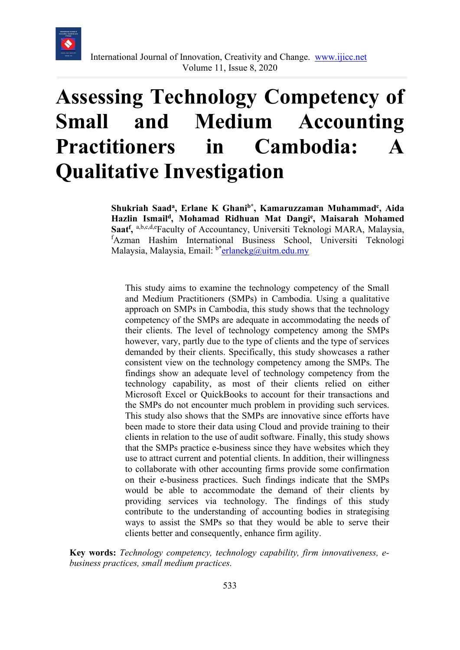

# **Assessing Technology Competency of Small and Medium Accounting Practitioners in Cambodia: Qualitative Investigation**

Shukriah Saad<sup>a</sup>, Erlane K Ghani<sup>b\*</sup>, Kamaruzzaman Muhammad<sup>c</sup>, Aida **Hazlin Ismaild, Mohamad Ridhuan Mat Dangie , Maisarah Mohamed**  Saat<sup>f</sup>, a,b,c,d,eFaculty of Accountancy, Universiti Teknologi MARA, Malaysia, f Azman Hashim International Business School, Universiti Teknologi Malaysia, Malaysia, Email: b[\\*erlanekg@uitm.edu.my](mailto:erlanekg@uitm.edu.my)

This study aims to examine the technology competency of the Small and Medium Practitioners (SMPs) in Cambodia. Using a qualitative approach on SMPs in Cambodia, this study shows that the technology competency of the SMPs are adequate in accommodating the needs of their clients. The level of technology competency among the SMPs however, vary, partly due to the type of clients and the type of services demanded by their clients. Specifically, this study showcases a rather consistent view on the technology competency among the SMPs. The findings show an adequate level of technology competency from the technology capability, as most of their clients relied on either Microsoft Excel or QuickBooks to account for their transactions and the SMPs do not encounter much problem in providing such services. This study also shows that the SMPs are innovative since efforts have been made to store their data using Cloud and provide training to their clients in relation to the use of audit software. Finally, this study shows that the SMPs practice e-business since they have websites which they use to attract current and potential clients. In addition, their willingness to collaborate with other accounting firms provide some confirmation on their e-business practices. Such findings indicate that the SMPs would be able to accommodate the demand of their clients by providing services via technology. The findings of this study contribute to the understanding of accounting bodies in strategising ways to assist the SMPs so that they would be able to serve their clients better and consequently, enhance firm agility.

**Key words:** *Technology competency, technology capability, firm innovativeness, ebusiness practices, small medium practices.*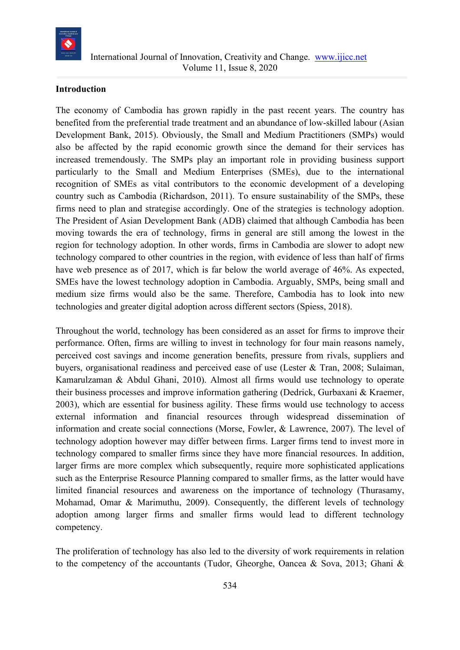

#### **Introduction**

The economy of Cambodia has grown rapidly in the past recent years. The country has benefited from the preferential trade treatment and an abundance of low-skilled labour (Asian Development Bank, 2015). Obviously, the Small and Medium Practitioners (SMPs) would also be affected by the rapid economic growth since the demand for their services has increased tremendously. The SMPs play an important role in providing business support particularly to the Small and Medium Enterprises (SMEs), due to the international recognition of SMEs as vital contributors to the economic development of a developing country such as Cambodia (Richardson, 2011). To ensure sustainability of the SMPs, these firms need to plan and strategise accordingly. One of the strategies is technology adoption. The President of Asian Development Bank (ADB) claimed that although Cambodia has been moving towards the era of technology, firms in general are still among the lowest in the region for technology adoption. In other words, firms in Cambodia are slower to adopt new technology compared to other countries in the region, with evidence of less than half of firms have web presence as of 2017, which is far below the world average of 46%. As expected, SMEs have the lowest technology adoption in Cambodia. Arguably, SMPs, being small and medium size firms would also be the same. Therefore, Cambodia has to look into new technologies and greater digital adoption across different sectors (Spiess, 2018).

Throughout the world, technology has been considered as an asset for firms to improve their performance. Often, firms are willing to invest in technology for four main reasons namely, perceived cost savings and income generation benefits, pressure from rivals, suppliers and buyers, organisational readiness and perceived ease of use (Lester & Tran, 2008; Sulaiman, Kamarulzaman & Abdul Ghani, 2010). Almost all firms would use technology to operate their business processes and improve information gathering (Dedrick, Gurbaxani & Kraemer, 2003), which are essential for business agility. These firms would use technology to access external information and financial resources through widespread dissemination of information and create social connections (Morse, Fowler, & Lawrence, 2007). The level of technology adoption however may differ between firms. Larger firms tend to invest more in technology compared to smaller firms since they have more financial resources. In addition, larger firms are more complex which subsequently, require more sophisticated applications such as the Enterprise Resource Planning compared to smaller firms, as the latter would have limited financial resources and awareness on the importance of technology (Thurasamy, Mohamad, Omar & Marimuthu, 2009). Consequently, the different levels of technology adoption among larger firms and smaller firms would lead to different technology competency.

The proliferation of technology has also led to the diversity of work requirements in relation to the competency of the accountants (Tudor, Gheorghe, Oancea & Sova, 2013; Ghani &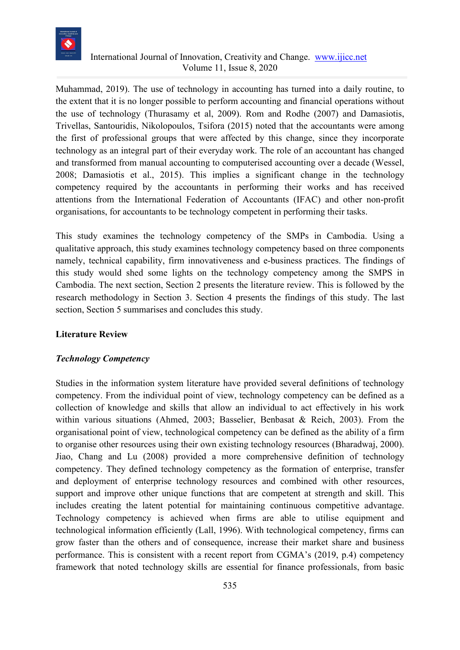

Muhammad, 2019). The use of technology in accounting has turned into a daily routine, to the extent that it is no longer possible to perform accounting and financial operations without the use of technology (Thurasamy et al, 2009). Rom and Rodhe (2007) and Damasiotis, Trivellas, Santouridis, Nikolopoulos, Tsifora (2015) noted that the accountants were among the first of professional groups that were affected by this change, since they incorporate technology as an integral part of their everyday work. The role of an accountant has changed and transformed from manual accounting to computerised accounting over a decade (Wessel, 2008; Damasiotis et al., 2015). This implies a significant change in the technology competency required by the accountants in performing their works and has received attentions from the International Federation of Accountants (IFAC) and other non-profit organisations, for accountants to be technology competent in performing their tasks.

This study examines the technology competency of the SMPs in Cambodia. Using a qualitative approach, this study examines technology competency based on three components namely, technical capability, firm innovativeness and e-business practices. The findings of this study would shed some lights on the technology competency among the SMPS in Cambodia. The next section, Section 2 presents the literature review. This is followed by the research methodology in Section 3. Section 4 presents the findings of this study. The last section, Section 5 summarises and concludes this study.

## **Literature Review**

## *Technology Competency*

Studies in the information system literature have provided several definitions of technology competency. From the individual point of view, technology competency can be defined as a collection of knowledge and skills that allow an individual to act effectively in his work within various situations (Ahmed, 2003; Basselier, Benbasat & Reich, 2003). From the organisational point of view, technological competency can be defined as the ability of a firm to organise other resources using their own existing technology resources (Bharadwaj, 2000). Jiao, Chang and Lu (2008) provided a more comprehensive definition of technology competency. They defined technology competency as the formation of enterprise, transfer and deployment of enterprise technology resources and combined with other resources, support and improve other unique functions that are competent at strength and skill. This includes creating the latent potential for maintaining continuous competitive advantage. Technology competency is achieved when firms are able to utilise equipment and technological information efficiently (Lall, 1996). With technological competency, firms can grow faster than the others and of consequence, increase their market share and business performance. This is consistent with a recent report from CGMA's (2019, p.4) competency framework that noted technology skills are essential for finance professionals, from basic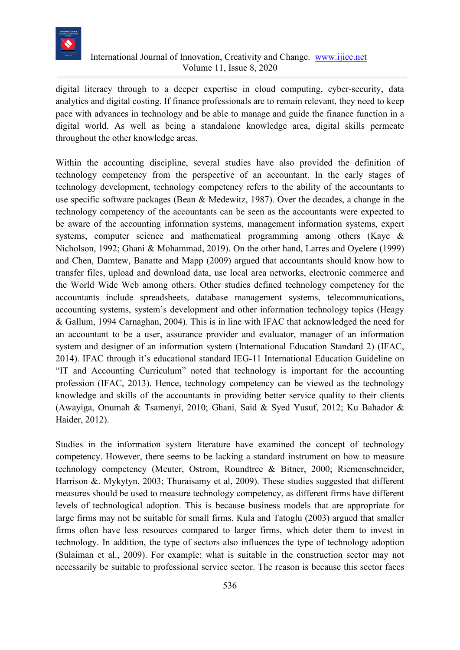

digital literacy through to a deeper expertise in cloud computing, cyber-security, data analytics and digital costing. If finance professionals are to remain relevant, they need to keep pace with advances in technology and be able to manage and guide the finance function in a digital world. As well as being a standalone knowledge area, digital skills permeate throughout the other knowledge areas.

Within the accounting discipline, several studies have also provided the definition of technology competency from the perspective of an accountant. In the early stages of technology development, technology competency refers to the ability of the accountants to use specific software packages (Bean & Medewitz, 1987). Over the decades, a change in the technology competency of the accountants can be seen as the accountants were expected to be aware of the accounting information systems, management information systems, expert systems, computer science and mathematical programming among others (Kaye & Nicholson, 1992; Ghani & Mohammad, 2019). On the other hand, Larres and Oyelere (1999) and Chen, Damtew, Banatte and Mapp (2009) argued that accountants should know how to transfer files, upload and download data, use local area networks, electronic commerce and the World Wide Web among others. Other studies defined technology competency for the accountants include spreadsheets, database management systems, telecommunications, accounting systems, system's development and other information technology topics (Heagy & Gallum, 1994 Carnaghan, 2004). This is in line with IFAC that acknowledged the need for an accountant to be a user, assurance provider and evaluator, manager of an information system and designer of an information system (International Education Standard 2) (IFAC, 2014). IFAC through it's educational standard IEG-11 International Education Guideline on "IT and Accounting Curriculum" noted that technology is important for the accounting profession (IFAC, 2013). Hence, technology competency can be viewed as the technology knowledge and skills of the accountants in providing better service quality to their clients (Awayiga, Onumah & Tsamenyi, 2010; Ghani, Said & Syed Yusuf, 2012; Ku Bahador & Haider, 2012).

Studies in the information system literature have examined the concept of technology competency. However, there seems to be lacking a standard instrument on how to measure technology competency (Meuter, Ostrom, Roundtree & Bitner, 2000; Riemenschneider, Harrison &. Mykytyn, 2003; Thuraisamy et al, 2009). These studies suggested that different measures should be used to measure technology competency, as different firms have different levels of technological adoption. This is because business models that are appropriate for large firms may not be suitable for small firms. Kula and Tatoglu (2003) argued that smaller firms often have less resources compared to larger firms, which deter them to invest in technology. In addition, the type of sectors also influences the type of technology adoption (Sulaiman et al., 2009). For example: what is suitable in the construction sector may not necessarily be suitable to professional service sector. The reason is because this sector faces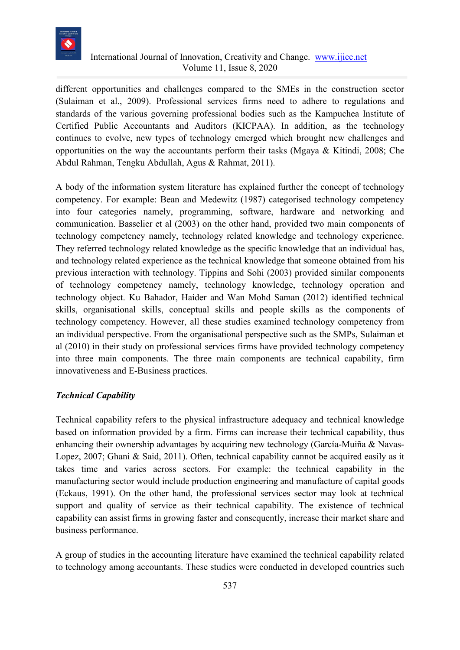

different opportunities and challenges compared to the SMEs in the construction sector (Sulaiman et al., 2009). Professional services firms need to adhere to regulations and standards of the various governing professional bodies such as the Kampuchea Institute of Certified Public Accountants and Auditors (KICPAA). In addition, as the technology continues to evolve, new types of technology emerged which brought new challenges and opportunities on the way the accountants perform their tasks (Mgaya & Kitindi, 2008; Che Abdul Rahman, Tengku Abdullah, Agus & Rahmat, 2011).

A body of the information system literature has explained further the concept of technology competency. For example: Bean and Medewitz (1987) categorised technology competency into four categories namely, programming, software, hardware and networking and communication. Basselier et al (2003) on the other hand, provided two main components of technology competency namely, technology related knowledge and technology experience. They referred technology related knowledge as the specific knowledge that an individual has, and technology related experience as the technical knowledge that someone obtained from his previous interaction with technology. Tippins and Sohi (2003) provided similar components of technology competency namely, technology knowledge, technology operation and technology object. Ku Bahador, Haider and Wan Mohd Saman (2012) identified technical skills, organisational skills, conceptual skills and people skills as the components of technology competency. However, all these studies examined technology competency from an individual perspective. From the organisational perspective such as the SMPs, Sulaiman et al (2010) in their study on professional services firms have provided technology competency into three main components. The three main components are technical capability, firm innovativeness and E-Business practices.

## *Technical Capability*

Technical capability refers to the physical infrastructure adequacy and technical knowledge based on information provided by a firm. Firms can increase their technical capability, thus enhancing their ownership advantages by acquiring new technology (García-Muiña & Navas-Lopez, 2007; Ghani & Said, 2011). Often, technical capability cannot be acquired easily as it takes time and varies across sectors. For example: the technical capability in the manufacturing sector would include production engineering and manufacture of capital goods (Eckaus, 1991). On the other hand, the professional services sector may look at technical support and quality of service as their technical capability. The existence of technical capability can assist firms in growing faster and consequently, increase their market share and business performance.

A group of studies in the accounting literature have examined the technical capability related to technology among accountants. These studies were conducted in developed countries such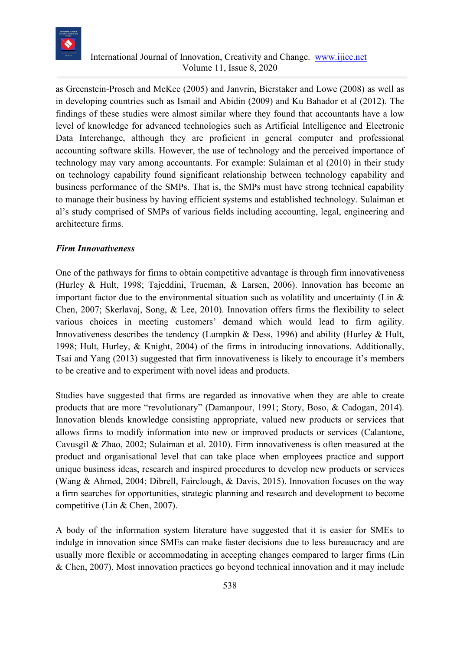

as Greenstein-Prosch and McKee (2005) and Janvrin, Bierstaker and Lowe (2008) as well as in developing countries such as Ismail and Abidin (2009) and Ku Bahador et al (2012). The findings of these studies were almost similar where they found that accountants have a low level of knowledge for advanced technologies such as Artificial Intelligence and Electronic Data Interchange, although they are proficient in general computer and professional accounting software skills. However, the use of technology and the perceived importance of technology may vary among accountants. For example: Sulaiman et al (2010) in their study on technology capability found significant relationship between technology capability and business performance of the SMPs. That is, the SMPs must have strong technical capability to manage their business by having efficient systems and established technology. Sulaiman et al's study comprised of SMPs of various fields including accounting, legal, engineering and architecture firms.

## *Firm Innovativeness*

One of the pathways for firms to obtain competitive advantage is through firm innovativeness (Hurley & Hult, 1998; Tajeddini, Trueman, & Larsen, 2006). Innovation has become an important factor due to the environmental situation such as volatility and uncertainty (Lin  $\&$ Chen, 2007; Skerlavaj, Song, & Lee, 2010). Innovation offers firms the flexibility to select various choices in meeting customers' demand which would lead to firm agility. Innovativeness describes the tendency (Lumpkin & Dess, 1996) and ability (Hurley & Hult, 1998; Hult, Hurley, & Knight, 2004) of the firms in introducing innovations. Additionally, Tsai and Yang (2013) suggested that firm innovativeness is likely to encourage it's members to be creative and to experiment with novel ideas and products.

Studies have suggested that firms are regarded as innovative when they are able to create products that are more "revolutionary" (Damanpour, 1991; Story, Boso, & Cadogan, 2014). Innovation blends knowledge consisting appropriate, valued new products or services that allows firms to modify information into new or improved products or services (Calantone, Cavusgil & Zhao, 2002; Sulaiman et al. 2010). Firm innovativeness is often measured at the product and organisational level that can take place when employees practice and support unique business ideas, research and inspired procedures to develop new products or services (Wang & Ahmed, 2004; Dibrell, Fairclough, & Davis, 2015). Innovation focuses on the way a firm searches for opportunities, strategic planning and research and development to become competitive (Lin & Chen, 2007).

A body of the information system literature have suggested that it is easier for SMEs to indulge in innovation since SMEs can make faster decisions due to less bureaucracy and are usually more flexible or accommodating in accepting changes compared to larger firms (Lin & Chen, 2007). Most innovation practices go beyond technical innovation and it may include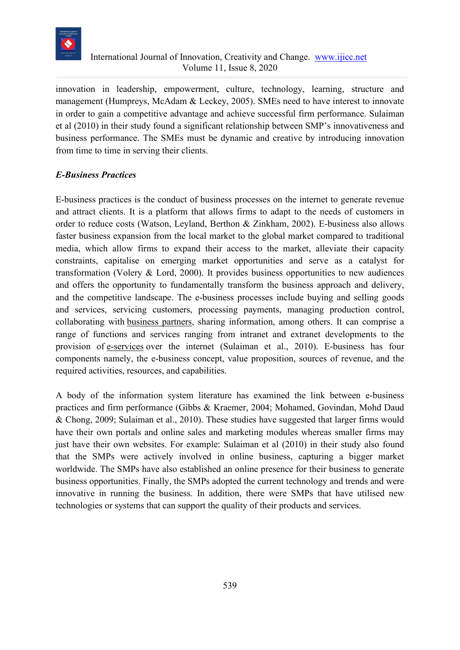

innovation in leadership, empowerment, culture, technology, learning, structure and management (Humpreys, McAdam & Leckey, 2005). SMEs need to have interest to innovate in order to gain a competitive advantage and achieve successful firm performance. Sulaiman et al (2010) in their study found a significant relationship between SMP's innovativeness and business performance. The SMEs must be dynamic and creative by introducing innovation from time to time in serving their clients.

# *E-Business Practices*

E-business practices is the conduct of business processes on the internet to generate revenue and attract clients. It is a platform that allows firms to adapt to the needs of customers in order to reduce costs (Watson, Leyland, Berthon & Zinkham, 2002). E-business also allows faster business expansion from the local market to the global market compared to traditional media, which allow firms to expand their access to the market, alleviate their capacity constraints, capitalise on emerging market opportunities and serve as a catalyst for transformation (Volery & Lord, 2000). It provides business opportunities to new audiences and offers the opportunity to fundamentally transform the business approach and delivery, and the competitive landscape. The e-business processes include buying and selling goods and services, servicing customers, processing payments, managing production control, collaborating with [business partners,](https://searchitchannel.techtarget.com/definition/partner) sharing information, among others. It can comprise a range of functions and services ranging from intranet and extranet developments to the provision of [e-services](https://searchcio.techtarget.com/definition/e-services) over the internet (Sulaiman et al., 2010). E-business has four components namely, the e-business concept, value proposition, sources of revenue, and the required activities, resources, and capabilities.

A body of the information system literature has examined the link between e-business practices and firm performance (Gibbs & Kraemer, 2004; Mohamed, Govindan, Mohd Daud & Chong, 2009; Sulaiman et al., 2010). These studies have suggested that larger firms would have their own portals and online sales and marketing modules whereas smaller firms may just have their own websites. For example: Sulaiman et al (2010) in their study also found that the SMPs were actively involved in online business, capturing a bigger market worldwide. The SMPs have also established an online presence for their business to generate business opportunities. Finally, the SMPs adopted the current technology and trends and were innovative in running the business. In addition, there were SMPs that have utilised new technologies or systems that can support the quality of their products and services.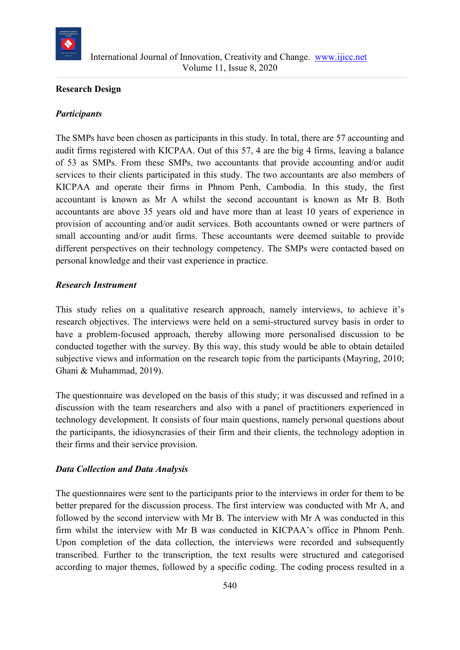

#### **Research Design**

#### *Participants*

The SMPs have been chosen as participants in this study. In total, there are 57 accounting and audit firms registered with KICPAA. Out of this 57, 4 are the big 4 firms, leaving a balance of 53 as SMPs. From these SMPs, two accountants that provide accounting and/or audit services to their clients participated in this study. The two accountants are also members of KICPAA and operate their firms in Phnom Penh, Cambodia. In this study, the first accountant is known as Mr A whilst the second accountant is known as Mr B. Both accountants are above 35 years old and have more than at least 10 years of experience in provision of accounting and/or audit services. Both accountants owned or were partners of small accounting and/or audit firms. These accountants were deemed suitable to provide different perspectives on their technology competency. The SMPs were contacted based on personal knowledge and their vast experience in practice.

#### *Research Instrument*

This study relies on a qualitative research approach, namely interviews, to achieve it's research objectives. The interviews were held on a semi-structured survey basis in order to have a problem-focused approach, thereby allowing more personalised discussion to be conducted together with the survey. By this way, this study would be able to obtain detailed subjective views and information on the research topic from the participants (Mayring, 2010; Ghani & Muhammad, 2019).

The questionnaire was developed on the basis of this study; it was discussed and refined in a discussion with the team researchers and also with a panel of practitioners experienced in technology development. It consists of four main questions, namely personal questions about the participants, the idiosyncrasies of their firm and their clients, the technology adoption in their firms and their service provision.

#### *Data Collection and Data Analysis*

The questionnaires were sent to the participants prior to the interviews in order for them to be better prepared for the discussion process. The first interview was conducted with Mr A, and followed by the second interview with Mr B. The interview with Mr A was conducted in this firm whilst the interview with Mr B was conducted in KICPAA's office in Phnom Penh. Upon completion of the data collection, the interviews were recorded and subsequently transcribed. Further to the transcription, the text results were structured and categorised according to major themes, followed by a specific coding. The coding process resulted in a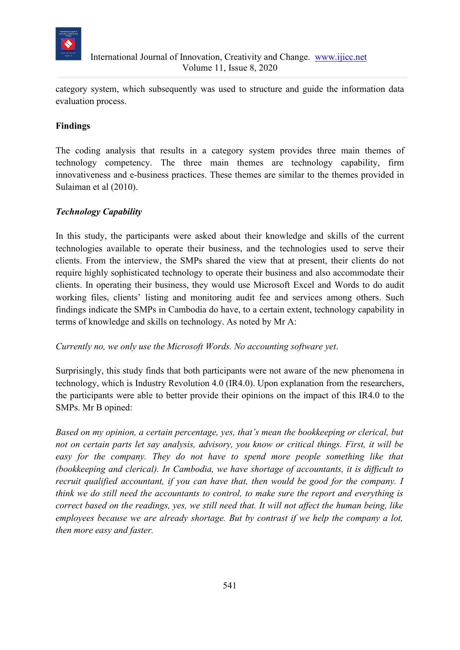

category system, which subsequently was used to structure and guide the information data evaluation process.

# **Findings**

The coding analysis that results in a category system provides three main themes of technology competency. The three main themes are technology capability, firm innovativeness and e-business practices. These themes are similar to the themes provided in Sulaiman et al (2010).

# *Technology Capability*

In this study, the participants were asked about their knowledge and skills of the current technologies available to operate their business, and the technologies used to serve their clients. From the interview, the SMPs shared the view that at present, their clients do not require highly sophisticated technology to operate their business and also accommodate their clients. In operating their business, they would use Microsoft Excel and Words to do audit working files, clients' listing and monitoring audit fee and services among others. Such findings indicate the SMPs in Cambodia do have, to a certain extent, technology capability in terms of knowledge and skills on technology. As noted by Mr A:

*Currently no, we only use the Microsoft Words. No accounting software yet*.

Surprisingly, this study finds that both participants were not aware of the new phenomena in technology, which is Industry Revolution 4.0 (IR4.0). Upon explanation from the researchers, the participants were able to better provide their opinions on the impact of this IR4.0 to the SMPs. Mr B opined:

*Based on my opinion, a certain percentage, yes, that's mean the bookkeeping or clerical, but not on certain parts let say analysis, advisory, you know or critical things. First, it will be*  easy for the company. They do not have to spend more people something like that *(bookkeeping and clerical). In Cambodia, we have shortage of accountants, it is difficult to recruit qualified accountant, if you can have that, then would be good for the company. I think we do still need the accountants to control, to make sure the report and everything is correct based on the readings, yes, we still need that. It will not affect the human being, like employees because we are already shortage. But by contrast if we help the company a lot, then more easy and faster.*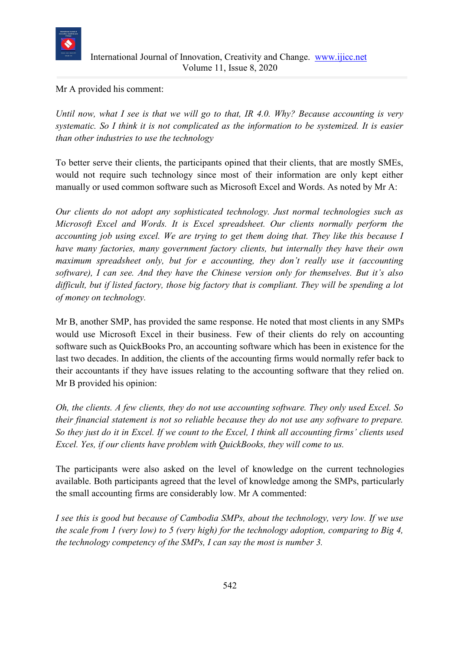

Mr A provided his comment:

*Until now, what I see is that we will go to that, IR 4.0. Why? Because accounting is very systematic. So I think it is not complicated as the information to be systemized. It is easier than other industries to use the technology*

To better serve their clients, the participants opined that their clients, that are mostly SMEs, would not require such technology since most of their information are only kept either manually or used common software such as Microsoft Excel and Words. As noted by Mr A:

*Our clients do not adopt any sophisticated technology. Just normal technologies such as Microsoft Excel and Words. It is Excel spreadsheet. Our clients normally perform the accounting job using excel. We are trying to get them doing that. They like this because I have many factories, many government factory clients, but internally they have their own maximum spreadsheet only, but for e accounting, they don't really use it (accounting software), I can see. And they have the Chinese version only for themselves. But it's also difficult, but if listed factory, those big factory that is compliant. They will be spending a lot of money on technology.* 

Mr B, another SMP, has provided the same response. He noted that most clients in any SMPs would use Microsoft Excel in their business. Few of their clients do rely on accounting software such as QuickBooks Pro, an accounting software which has been in existence for the last two decades. In addition, the clients of the accounting firms would normally refer back to their accountants if they have issues relating to the accounting software that they relied on. Mr B provided his opinion:

*Oh, the clients. A few clients, they do not use accounting software. They only used Excel. So their financial statement is not so reliable because they do not use any software to prepare. So they just do it in Excel. If we count to the Excel, I think all accounting firms' clients used Excel. Yes, if our clients have problem with QuickBooks, they will come to us.* 

The participants were also asked on the level of knowledge on the current technologies available. Both participants agreed that the level of knowledge among the SMPs, particularly the small accounting firms are considerably low. Mr A commented:

*I see this is good but because of Cambodia SMPs, about the technology, very low. If we use the scale from 1 (very low) to 5 (very high) for the technology adoption, comparing to Big 4, the technology competency of the SMPs, I can say the most is number 3.*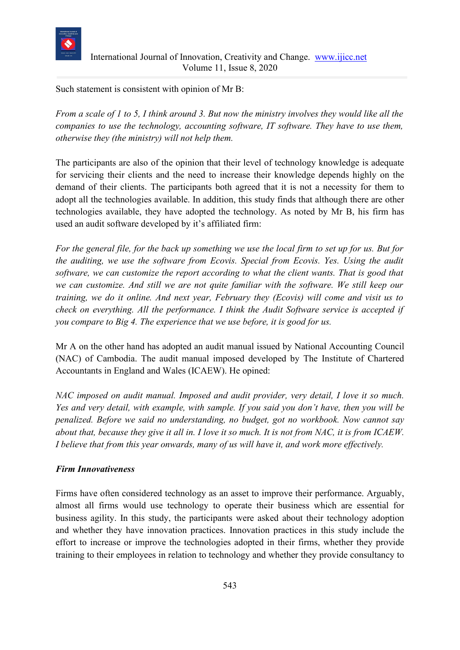

Such statement is consistent with opinion of Mr B:

*From a scale of 1 to 5, I think around 3. But now the ministry involves they would like all the companies to use the technology, accounting software, IT software. They have to use them, otherwise they (the ministry) will not help them.*

The participants are also of the opinion that their level of technology knowledge is adequate for servicing their clients and the need to increase their knowledge depends highly on the demand of their clients. The participants both agreed that it is not a necessity for them to adopt all the technologies available. In addition, this study finds that although there are other technologies available, they have adopted the technology. As noted by Mr B, his firm has used an audit software developed by it's affiliated firm:

*For the general file, for the back up something we use the local firm to set up for us. But for the auditing, we use the software from Ecovis. Special from Ecovis. Yes. Using the audit software, we can customize the report according to what the client wants. That is good that we can customize. And still we are not quite familiar with the software. We still keep our training, we do it online. And next year, February they (Ecovis) will come and visit us to check on everything. All the performance. I think the Audit Software service is accepted if you compare to Big 4. The experience that we use before, it is good for us.*

Mr A on the other hand has adopted an audit manual issued by National Accounting Council (NAC) of Cambodia. The audit manual imposed developed by The Institute of Chartered Accountants in England and Wales (ICAEW). He opined:

*NAC imposed on audit manual. Imposed and audit provider, very detail, I love it so much. Yes and very detail, with example, with sample. If you said you don't have, then you will be penalized. Before we said no understanding, no budget, got no workbook. Now cannot say about that, because they give it all in. I love it so much. It is not from NAC, it is from ICAEW. I believe that from this year onwards, many of us will have it, and work more effectively.*

## *Firm Innovativeness*

Firms have often considered technology as an asset to improve their performance. Arguably, almost all firms would use technology to operate their business which are essential for business agility. In this study, the participants were asked about their technology adoption and whether they have innovation practices. Innovation practices in this study include the effort to increase or improve the technologies adopted in their firms, whether they provide training to their employees in relation to technology and whether they provide consultancy to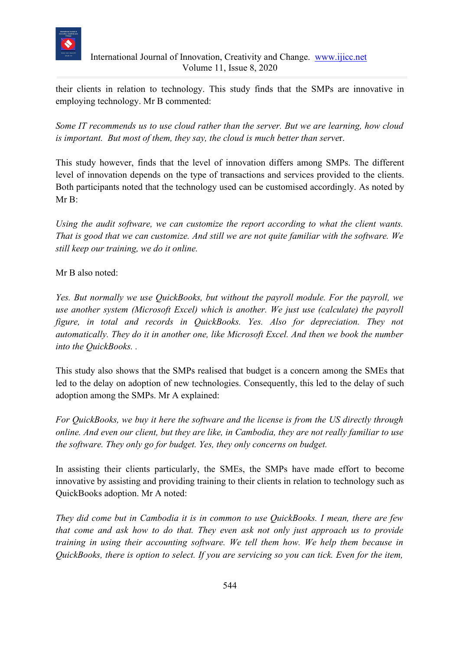

their clients in relation to technology. This study finds that the SMPs are innovative in employing technology. Mr B commented:

*Some IT recommends us to use cloud rather than the server. But we are learning, how cloud is important. But most of them, they say, the cloud is much better than serve*r.

This study however, finds that the level of innovation differs among SMPs. The different level of innovation depends on the type of transactions and services provided to the clients. Both participants noted that the technology used can be customised accordingly. As noted by Mr B:

*Using the audit software, we can customize the report according to what the client wants. That is good that we can customize. And still we are not quite familiar with the software. We still keep our training, we do it online.*

Mr B also noted:

*Yes. But normally we use QuickBooks, but without the payroll module. For the payroll, we use another system (Microsoft Excel) which is another. We just use (calculate) the payroll figure, in total and records in QuickBooks. Yes. Also for depreciation. They not automatically. They do it in another one, like Microsoft Excel. And then we book the number into the QuickBooks. .*

This study also shows that the SMPs realised that budget is a concern among the SMEs that led to the delay on adoption of new technologies. Consequently, this led to the delay of such adoption among the SMPs. Mr A explained:

*For QuickBooks, we buy it here the software and the license is from the US directly through online. And even our client, but they are like, in Cambodia, they are not really familiar to use the software. They only go for budget. Yes, they only concerns on budget.* 

In assisting their clients particularly, the SMEs, the SMPs have made effort to become innovative by assisting and providing training to their clients in relation to technology such as QuickBooks adoption. Mr A noted:

*They did come but in Cambodia it is in common to use QuickBooks. I mean, there are few that come and ask how to do that. They even ask not only just approach us to provide training in using their accounting software. We tell them how. We help them because in QuickBooks, there is option to select. If you are servicing so you can tick. Even for the item,*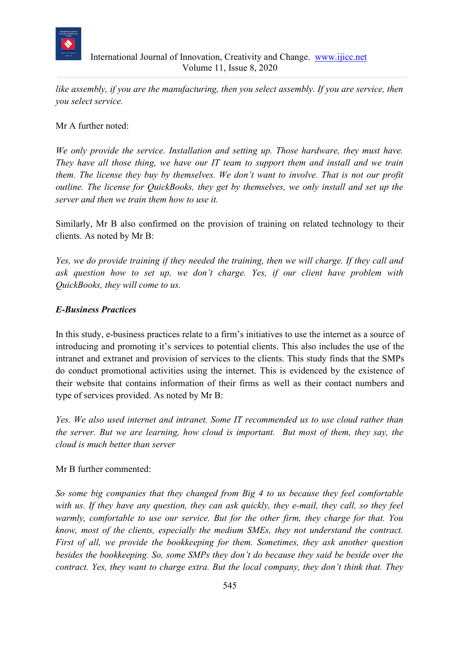

*like assembly, if you are the manufacturing, then you select assembly. If you are service, then you select service.*

## Mr A further noted:

*We only provide the service. Installation and setting up. Those hardware, they must have. They have all those thing, we have our IT team to support them and install and we train them. The license they buy by themselves. We don't want to involve. That is not our profit outline. The license for QuickBooks, they get by themselves, we only install and set up the server and then we train them how to use it.*

Similarly, Mr B also confirmed on the provision of training on related technology to their clients. As noted by Mr B:

*Yes, we do provide training if they needed the training, then we will charge. If they call and ask question how to set up, we don't charge. Yes, if our client have problem with QuickBooks, they will come to us.* 

# *E-Business Practices*

In this study, e-business practices relate to a firm's initiatives to use the internet as a source of introducing and promoting it's services to potential clients. This also includes the use of the intranet and extranet and provision of services to the clients. This study finds that the SMPs do conduct promotional activities using the internet. This is evidenced by the existence of their website that contains information of their firms as well as their contact numbers and type of services provided. As noted by Mr B:

*Yes. We also used internet and intranet. Some IT recommended us to use cloud rather than the server. But we are learning, how cloud is important. But most of them, they say, the cloud is much better than server*

## Mr B further commented:

*So some big companies that they changed from Big 4 to us because they feel comfortable with us. If they have any question, they can ask quickly, they e-mail, they call, so they feel warmly, comfortable to use our service. But for the other firm, they charge for that. You know, most of the clients, especially the medium SMEs, they not understand the contract. First of all, we provide the bookkeeping for them. Sometimes, they ask another question besides the bookkeeping. So, some SMPs they don't do because they said be beside over the contract. Yes, they want to charge extra. But the local company, they don't think that. They*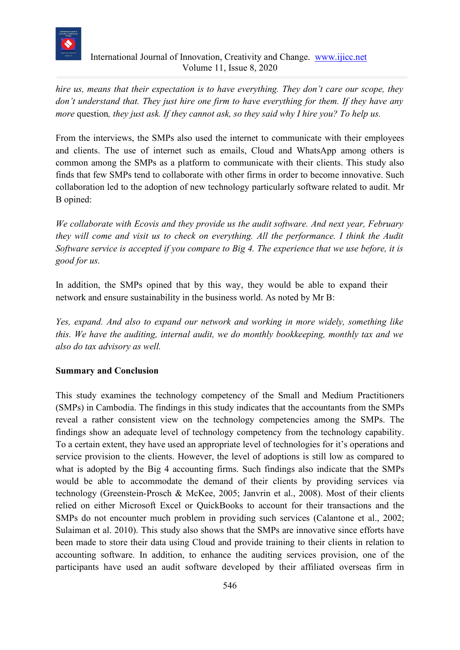

*hire us, means that their expectation is to have everything. They don't care our scope, they don't understand that. They just hire one firm to have everything for them. If they have any more* question*, they just ask. If they cannot ask, so they said why I hire you? To help us.*

From the interviews, the SMPs also used the internet to communicate with their employees and clients. The use of internet such as emails, Cloud and WhatsApp among others is common among the SMPs as a platform to communicate with their clients. This study also finds that few SMPs tend to collaborate with other firms in order to become innovative. Such collaboration led to the adoption of new technology particularly software related to audit. Mr B opined:

*We collaborate with Ecovis and they provide us the audit software. And next year, February they will come and visit us to check on everything. All the performance. I think the Audit Software service is accepted if you compare to Big 4. The experience that we use before, it is good for us.*

In addition, the SMPs opined that by this way, they would be able to expand their network and ensure sustainability in the business world. As noted by Mr B:

*Yes, expand. And also to expand our network and working in more widely, something like this. We have the auditing, internal audit, we do monthly bookkeeping, monthly tax and we also do tax advisory as well.*

## **Summary and Conclusion**

This study examines the technology competency of the Small and Medium Practitioners (SMPs) in Cambodia. The findings in this study indicates that the accountants from the SMPs reveal a rather consistent view on the technology competencies among the SMPs. The findings show an adequate level of technology competency from the technology capability. To a certain extent, they have used an appropriate level of technologies for it's operations and service provision to the clients. However, the level of adoptions is still low as compared to what is adopted by the Big 4 accounting firms. Such findings also indicate that the SMPs would be able to accommodate the demand of their clients by providing services via technology (Greenstein-Prosch & McKee, 2005; Janvrin et al., 2008). Most of their clients relied on either Microsoft Excel or QuickBooks to account for their transactions and the SMPs do not encounter much problem in providing such services (Calantone et al., 2002; Sulaiman et al. 2010). This study also shows that the SMPs are innovative since efforts have been made to store their data using Cloud and provide training to their clients in relation to accounting software. In addition, to enhance the auditing services provision, one of the participants have used an audit software developed by their affiliated overseas firm in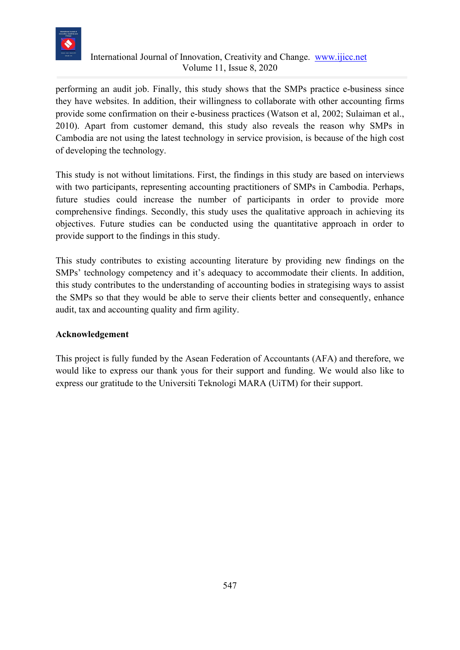

performing an audit job. Finally, this study shows that the SMPs practice e-business since they have websites. In addition, their willingness to collaborate with other accounting firms provide some confirmation on their e-business practices (Watson et al, 2002; Sulaiman et al., 2010). Apart from customer demand, this study also reveals the reason why SMPs in Cambodia are not using the latest technology in service provision, is because of the high cost of developing the technology.

This study is not without limitations. First, the findings in this study are based on interviews with two participants, representing accounting practitioners of SMPs in Cambodia. Perhaps, future studies could increase the number of participants in order to provide more comprehensive findings. Secondly, this study uses the qualitative approach in achieving its objectives. Future studies can be conducted using the quantitative approach in order to provide support to the findings in this study.

This study contributes to existing accounting literature by providing new findings on the SMPs' technology competency and it's adequacy to accommodate their clients. In addition, this study contributes to the understanding of accounting bodies in strategising ways to assist the SMPs so that they would be able to serve their clients better and consequently, enhance audit, tax and accounting quality and firm agility.

## **Acknowledgement**

This project is fully funded by the Asean Federation of Accountants (AFA) and therefore, we would like to express our thank yous for their support and funding. We would also like to express our gratitude to the Universiti Teknologi MARA (UiTM) for their support.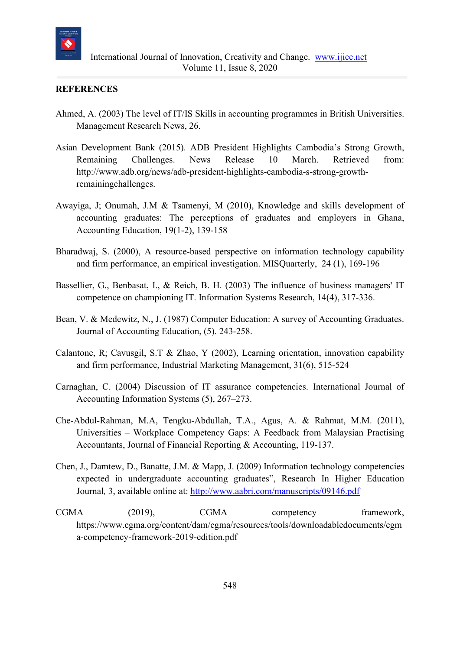

## **REFERENCES**

- Ahmed, A. (2003) The level of IT/IS Skills in accounting programmes in British Universities. Management Research News, 26.
- Asian Development Bank (2015). ADB President Highlights Cambodia's Strong Growth, Remaining Challenges. News Release 10 March. Retrieved from: http://www.adb.org/news/adb-president-highlights-cambodia-s-strong-growthremainingchallenges.
- Awayiga, J; Onumah, J.M & Tsamenyi, M (2010), Knowledge and skills development of accounting graduates: The perceptions of graduates and employers in Ghana, Accounting Education, 19(1-2), 139-158
- Bharadwaj, S. (2000), A resource-based perspective on information technology capability and firm performance, an empirical investigation. MISQuarterly, 24 (1), 169-196
- Bassellier, G., Benbasat, I., & Reich, B. H. (2003) The influence of business managers' IT competence on championing IT. Information Systems Research, 14(4), 317-336.
- Bean, V. & Medewitz, N., J. (1987) Computer Education: A survey of Accounting Graduates. Journal of Accounting Education, (5). 243-258.
- Calantone, R; Cavusgil, S.T & Zhao, Y (2002), Learning orientation, innovation capability and firm performance, Industrial Marketing Management, 31(6), 515-524
- Carnaghan, C. (2004) Discussion of IT assurance competencies. International Journal of Accounting Information Systems (5), 267–273.
- Che-Abdul-Rahman, M.A, Tengku-Abdullah, T.A., Agus, A. & Rahmat, M.M. (2011), Universities – Workplace Competency Gaps: A Feedback from Malaysian Practising Accountants, Journal of Financial Reporting & Accounting, 119-137.
- Chen, J., Damtew, D., Banatte, J.M. & Mapp, J. (2009) Information technology competencies expected in undergraduate accounting graduates", Research In Higher Education Journal*,* 3, available online at:<http://www.aabri.com/manuscripts/09146.pdf>
- CGMA (2019), CGMA competency framework, https://www.cgma.org/content/dam/cgma/resources/tools/downloadabledocuments/cgm a-competency-framework-2019-edition.pdf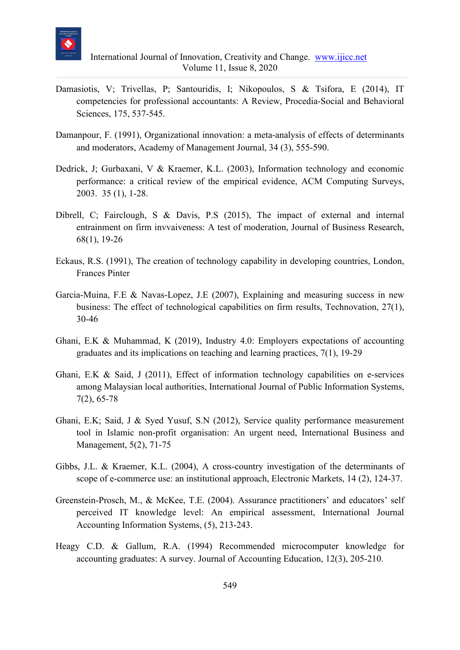

- Damasiotis, V; Trivellas, P; Santouridis, I; Nikopoulos, S & Tsifora, E (2014), IT competencies for professional accountants: A Review, Procedia-Social and Behavioral Sciences, 175, 537-545.
- Damanpour, F. (1991), Organizational innovation: a meta-analysis of effects of determinants and moderators, Academy of Management Journal, 34 (3), 555-590.
- Dedrick, J; Gurbaxani, V & Kraemer, K.L. (2003), Information technology and economic performance: a critical review of the empirical evidence, ACM Computing Surveys, 2003. 35 (1), 1-28.
- Dibrell, C; Fairclough, S & Davis, P.S (2015), The impact of external and internal entrainment on firm invvaiveness: A test of moderation, Journal of Business Research, 68(1), 19-26
- Eckaus, R.S. (1991), The creation of technology capability in developing countries, London, Frances Pinter
- Garcia-Muina, F.E & Navas-Lopez, J.E (2007), Explaining and measuring success in new business: The effect of technological capabilities on firm results, Technovation, 27(1), 30-46
- Ghani, E.K & Muhammad, K (2019), Industry 4.0: Employers expectations of accounting graduates and its implications on teaching and learning practices, 7(1), 19-29
- Ghani, E.K & Said, J (2011), Effect of information technology capabilities on e-services among Malaysian local authorities, International Journal of Public Information Systems, 7(2), 65-78
- Ghani, E.K; Said, J & Syed Yusuf, S.N (2012), Service quality performance measurement tool in Islamic non-profit organisation: An urgent need, International Business and Management, 5(2), 71-75
- Gibbs, J.L. & Kraemer, K.L. (2004), A cross-country investigation of the determinants of scope of e-commerce use: an institutional approach, Electronic Markets, 14 (2), 124-37.
- Greenstein-Prosch, M., & McKee, T.E. (2004). Assurance practitioners' and educators' self perceived IT knowledge level: An empirical assessment, International Journal Accounting Information Systems, (5), 213-243.
- Heagy C.D. & Gallum, R.A. (1994) Recommended microcomputer knowledge for accounting graduates: A survey. Journal of Accounting Education, 12(3), 205-210.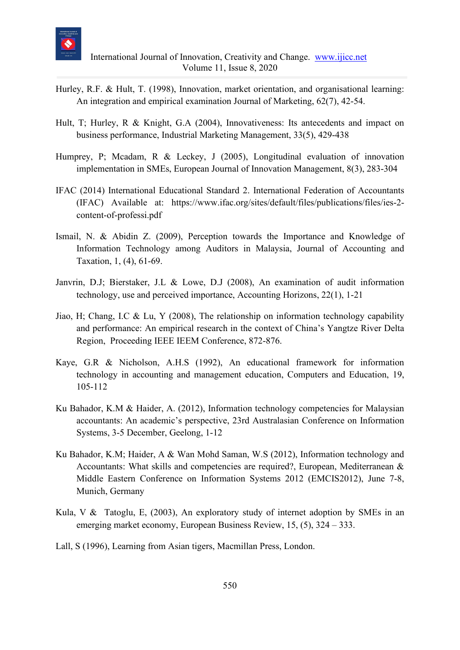

- Hurley, R.F. & Hult, T. (1998), Innovation, market orientation, and organisational learning: An integration and empirical examination Journal of Marketing, 62(7), 42-54.
- Hult, T; Hurley, R & Knight, G.A (2004), Innovativeness: Its antecedents and impact on business performance, Industrial Marketing Management, 33(5), 429-438
- Humprey, P; Mcadam, R & Leckey, J (2005), Longitudinal evaluation of innovation implementation in SMEs, European Journal of Innovation Management, 8(3), 283-304
- IFAC (2014) International Educational Standard 2. International Federation of Accountants (IFAC) Available at: https://www.ifac.org/sites/default/files/publications/files/ies-2 content-of-professi.pdf
- Ismail, N. & Abidin Z. (2009), Perception towards the Importance and Knowledge of Information Technology among Auditors in Malaysia, Journal of Accounting and Taxation, 1, (4), 61-69.
- Janvrin, D.J; Bierstaker, J.L & Lowe, D.J (2008), An examination of audit information technology, use and perceived importance, Accounting Horizons, 22(1), 1-21
- Jiao, H; Chang, I.C & Lu, Y (2008), The relationship on information technology capability and performance: An empirical research in the context of China's Yangtze River Delta Region, Proceeding IEEE IEEM Conference, 872-876.
- Kaye, G.R & Nicholson, A.H.S (1992), An educational framework for information technology in accounting and management education, Computers and Education, 19, 105-112
- Ku Bahador, K.M & Haider, A. (2012), Information technology competencies for Malaysian accountants: An academic's perspective, 23rd Australasian Conference on Information Systems, 3-5 December, Geelong, 1-12
- Ku Bahador, K.M; Haider, A & Wan Mohd Saman, W.S (2012), Information technology and Accountants: What skills and competencies are required?, European, Mediterranean & Middle Eastern Conference on Information Systems 2012 (EMCIS2012), June 7-8, Munich, Germany
- Kula, V & Tatoglu, E, (2003), An exploratory study of internet adoption by SMEs in an emerging market economy, European Business Review, 15, (5), 324 – 333.
- Lall, S (1996), Learning from Asian tigers, Macmillan Press, London.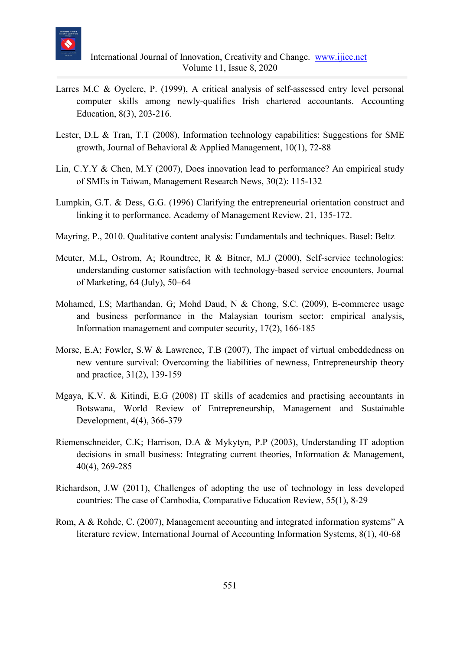

- Larres M.C & Oyelere, P. (1999), A critical analysis of self-assessed entry level personal computer skills among newly-qualifies Irish chartered accountants. Accounting Education, 8(3), 203-216.
- Lester, D.L & Tran, T.T (2008), Information technology capabilities: Suggestions for SME growth, Journal of Behavioral & Applied Management, 10(1), 72-88
- Lin, C.Y.Y & Chen, M.Y (2007), Does innovation lead to performance? An empirical study of SMEs in Taiwan, Management Research News, 30(2): 115-132
- Lumpkin, G.T. & Dess, G.G. (1996) Clarifying the entrepreneurial orientation construct and linking it to performance. Academy of Management Review, 21, 135-172.
- Mayring, P., 2010. Qualitative content analysis: Fundamentals and techniques. Basel: Beltz
- Meuter, M.L, Ostrom, A; Roundtree, R & Bitner, M.J (2000), Self-service technologies: understanding customer satisfaction with technology-based service encounters, Journal of Marketing, 64 (July), 50–64
- Mohamed, I.S; Marthandan, G; Mohd Daud, N & Chong, S.C. (2009), E-commerce usage and business performance in the Malaysian tourism sector: empirical analysis, Information management and computer security, 17(2), 166-185
- Morse, E.A; Fowler, S.W & Lawrence, T.B (2007), The impact of virtual embeddedness on new venture survival: Overcoming the liabilities of newness, Entrepreneurship theory and practice, 31(2), 139-159
- Mgaya, K.V. & Kitindi, E.G (2008) IT skills of academics and practising accountants in Botswana, World Review of Entrepreneurship, Management and Sustainable Development, 4(4), 366-379
- Riemenschneider, C.K; Harrison, D.A & Mykytyn, P.P (2003), Understanding IT adoption decisions in small business: Integrating current theories, Information & Management, 40(4), 269-285
- Richardson, J.W (2011), Challenges of adopting the use of technology in less developed countries: The case of Cambodia, Comparative Education Review, 55(1), 8-29
- Rom, A & Rohde, C. (2007), Management accounting and integrated information systems" A literature review, International Journal of Accounting Information Systems, 8(1), 40-68